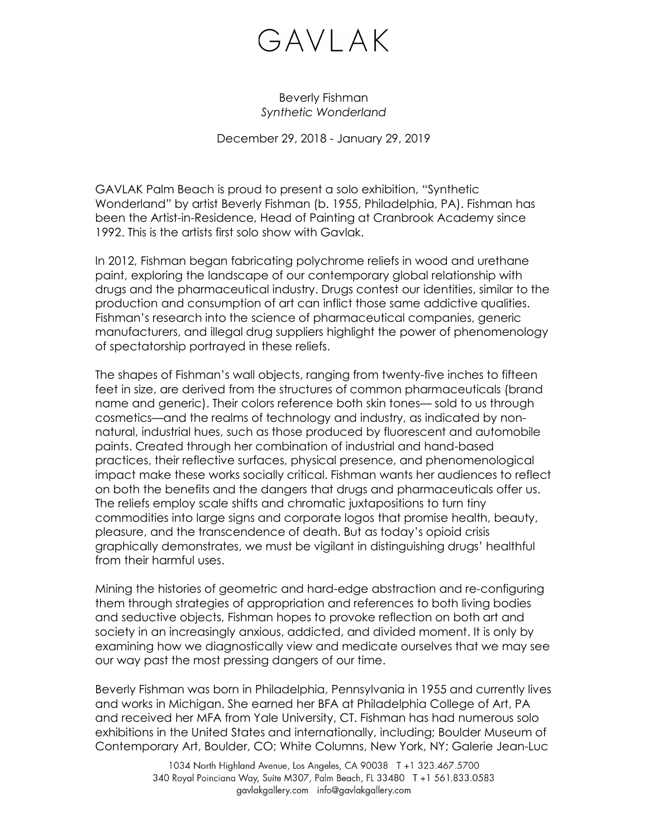## GAVLAK

Beverly Fishman *Synthetic Wonderland*

December 29, 2018 - January 29, 2019

GAVLAK Palm Beach is proud to present a solo exhibition, "Synthetic Wonderland*"* by artist Beverly Fishman (b. 1955, Philadelphia, PA). Fishman has been the Artist-in-Residence, Head of Painting at Cranbrook Academy since 1992. This is the artists first solo show with Gavlak.

In 2012, Fishman began fabricating polychrome reliefs in wood and urethane paint, exploring the landscape of our contemporary global relationship with drugs and the pharmaceutical industry. Drugs contest our identities, similar to the production and consumption of art can inflict those same addictive qualities. Fishman's research into the science of pharmaceutical companies, generic manufacturers, and illegal drug suppliers highlight the power of phenomenology of spectatorship portrayed in these reliefs.

The shapes of Fishman's wall objects, ranging from twenty-five inches to fifteen feet in size, are derived from the structures of common pharmaceuticals (brand name and generic). Their colors reference both skin tones— sold to us through cosmetics—and the realms of technology and industry, as indicated by nonnatural, industrial hues, such as those produced by fluorescent and automobile paints. Created through her combination of industrial and hand-based practices, their reflective surfaces, physical presence, and phenomenological impact make these works socially critical. Fishman wants her audiences to reflect on both the benefits and the dangers that drugs and pharmaceuticals offer us. The reliefs employ scale shifts and chromatic juxtapositions to turn tiny commodities into large signs and corporate logos that promise health, beauty, pleasure, and the transcendence of death. But as today's opioid crisis graphically demonstrates, we must be vigilant in distinguishing drugs' healthful from their harmful uses.

Mining the histories of geometric and hard-edge abstraction and re-configuring them through strategies of appropriation and references to both living bodies and seductive objects, Fishman hopes to provoke reflection on both art and society in an increasingly anxious, addicted, and divided moment. It is only by examining how we diagnostically view and medicate ourselves that we may see our way past the most pressing dangers of our time.

Beverly Fishman was born in Philadelphia, Pennsylvania in 1955 and currently lives and works in Michigan. She earned her BFA at Philadelphia College of Art, PA and received her MFA from Yale University, CT. Fishman has had numerous solo exhibitions in the United States and internationally, including; Boulder Museum of Contemporary Art, Boulder, CO; White Columns, New York, NY; Galerie Jean-Luc

> 1034 North Highland Avenue, Los Angeles, CA 90038 T +1 323.467.5700 340 Royal Poinciana Way, Suite M307, Palm Beach, FL 33480 T +1 561.833.0583 gavlakgallery.com info@gavlakgallery.com